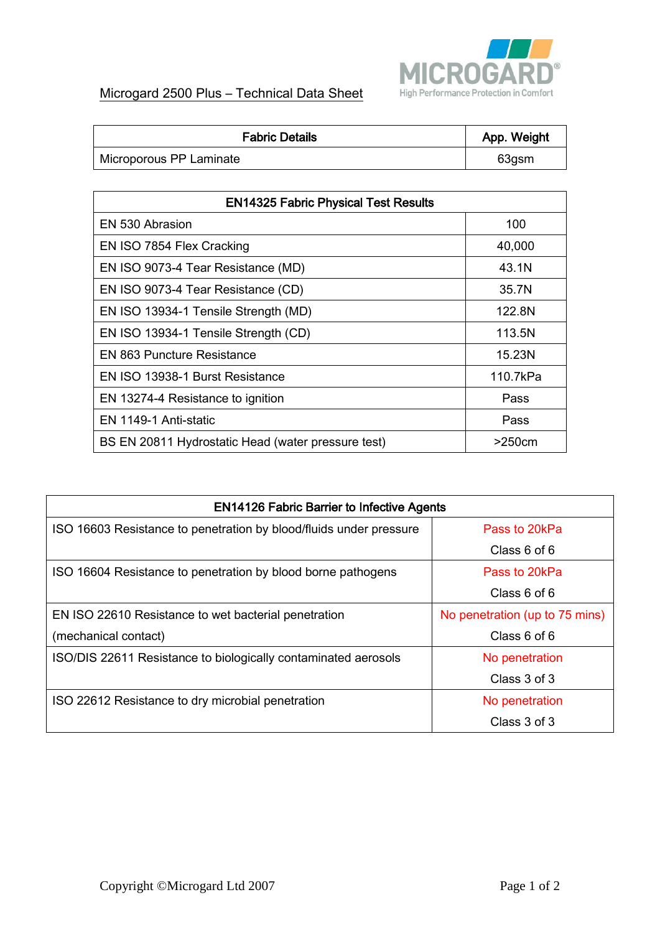

## Microgard 2500 Plus – Technical Data Sheet

| <b>Fabric Details</b>   | App. Weight |
|-------------------------|-------------|
| Microporous PP Laminate | 63gsm       |

| <b>EN14325 Fabric Physical Test Results</b>        |          |  |
|----------------------------------------------------|----------|--|
| EN 530 Abrasion                                    | 100      |  |
| EN ISO 7854 Flex Cracking                          | 40,000   |  |
| EN ISO 9073-4 Tear Resistance (MD)                 | 43.1N    |  |
| EN ISO 9073-4 Tear Resistance (CD)                 | 35.7N    |  |
| EN ISO 13934-1 Tensile Strength (MD)               | 122.8N   |  |
| EN ISO 13934-1 Tensile Strength (CD)               | 113.5N   |  |
| <b>EN 863 Puncture Resistance</b>                  | 15.23N   |  |
| EN ISO 13938-1 Burst Resistance                    | 110.7kPa |  |
| EN 13274-4 Resistance to ignition                  | Pass     |  |
| EN 1149-1 Anti-static                              | Pass     |  |
| BS EN 20811 Hydrostatic Head (water pressure test) | >250cm   |  |

| <b>EN14126 Fabric Barrier to Infective Agents</b>                  |                                |  |
|--------------------------------------------------------------------|--------------------------------|--|
| ISO 16603 Resistance to penetration by blood/fluids under pressure | Pass to 20kPa                  |  |
|                                                                    | Class 6 of 6                   |  |
| ISO 16604 Resistance to penetration by blood borne pathogens       | Pass to 20kPa                  |  |
|                                                                    | Class 6 of 6                   |  |
| EN ISO 22610 Resistance to wet bacterial penetration               | No penetration (up to 75 mins) |  |
| (mechanical contact)                                               | Class 6 of 6                   |  |
| ISO/DIS 22611 Resistance to biologically contaminated aerosols     | No penetration                 |  |
|                                                                    | Class 3 of 3                   |  |
| ISO 22612 Resistance to dry microbial penetration                  | No penetration                 |  |
|                                                                    | Class 3 of 3                   |  |